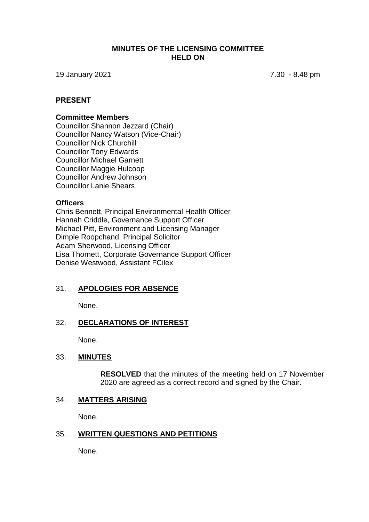### **MINUTES OF THE LICENSING COMMITTEE HELD ON**

19 January 2021 7.30 - 8.48 pm

# **PRESENT**

#### **Committee Members**

Councillor Shannon Jezzard (Chair) Councillor Nancy Watson (Vice-Chair) Councillor Nick Churchill Councillor Tony Edwards Councillor Michael Garnett Councillor Maggie Hulcoop Councillor Andrew Johnson Councillor Lanie Shears

### **Officers**

Chris Bennett, Principal Environmental Health Officer Hannah Criddle, Governance Support Officer Michael Pitt, Environment and Licensing Manager Dimple Roopchand, Principal Solicitor Adam Sherwood, Licensing Officer Lisa Thornett, Corporate Governance Support Officer Denise Westwood, Assistant FCilex

# 31. **APOLOGIES FOR ABSENCE**

None.

# 32. **DECLARATIONS OF INTEREST**

None.

#### 33. **MINUTES**

**RESOLVED** that the minutes of the meeting held on 17 November 2020 are agreed as a correct record and signed by the Chair.

#### 34. **MATTERS ARISING**

None.

#### 35. **WRITTEN QUESTIONS AND PETITIONS**

None.